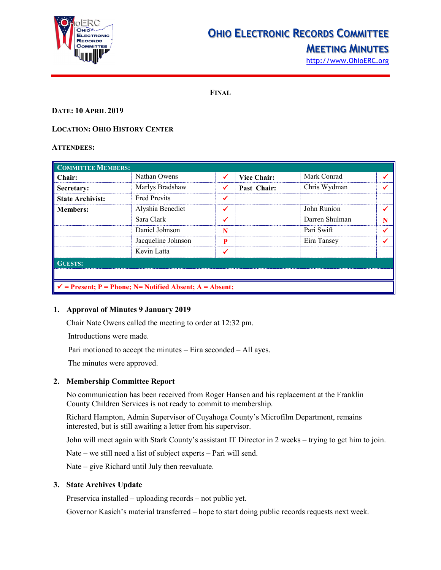

# **OHIO ELECTRONIC RECORDS COMMITTEE**

## **MEETING MINUTES**

[http://www.OhioERC.org](http://www.ohioerc.org/)

**FINAL**

#### **DATE: 10 APRIL 2019**

#### **LOCATION: OHIO HISTORY CENTER**

#### **ATTENDEES:**

| <b>COMMITTEE MEMBERS:</b>                                           |                     |   |                    |                |  |  |
|---------------------------------------------------------------------|---------------------|---|--------------------|----------------|--|--|
| Chair:                                                              | Nathan Owens        | ✔ | <b>Vice Chair:</b> | Mark Conrad    |  |  |
| Secretary:                                                          | Marlys Bradshaw     |   | Past Chair:        | Chris Wydman   |  |  |
| <b>State Archivist:</b>                                             | <b>Fred Previts</b> |   |                    |                |  |  |
| <b>Members:</b>                                                     | Alyshia Benedict    |   |                    | John Runion    |  |  |
|                                                                     | Sara Clark          |   |                    | Darren Shulman |  |  |
|                                                                     | Daniel Johnson      |   |                    | Pari Swift     |  |  |
|                                                                     | Jacqueline Johnson  |   |                    | Eira Tansey    |  |  |
|                                                                     | Kevin Latta         |   |                    |                |  |  |
| <b>GUESTS:</b>                                                      |                     |   |                    |                |  |  |
|                                                                     |                     |   |                    |                |  |  |
| $\checkmark$ = Present; P = Phone; N = Notified Absent; A = Absent; |                     |   |                    |                |  |  |

#### **1. Approval of Minutes 9 January 2019**

Chair Nate Owens called the meeting to order at 12:32 pm.

Introductions were made.

Pari motioned to accept the minutes – Eira seconded – All ayes.

The minutes were approved.

#### **2. Membership Committee Report**

No communication has been received from Roger Hansen and his replacement at the Franklin County Children Services is not ready to commit to membership.

Richard Hampton, Admin Supervisor of Cuyahoga County's Microfilm Department, remains interested, but is still awaiting a letter from his supervisor.

John will meet again with Stark County's assistant IT Director in 2 weeks – trying to get him to join.

Nate – we still need a list of subject experts – Pari will send.

Nate – give Richard until July then reevaluate.

### **3. State Archives Update**

Preservica installed – uploading records – not public yet.

Governor Kasich's material transferred – hope to start doing public records requests next week.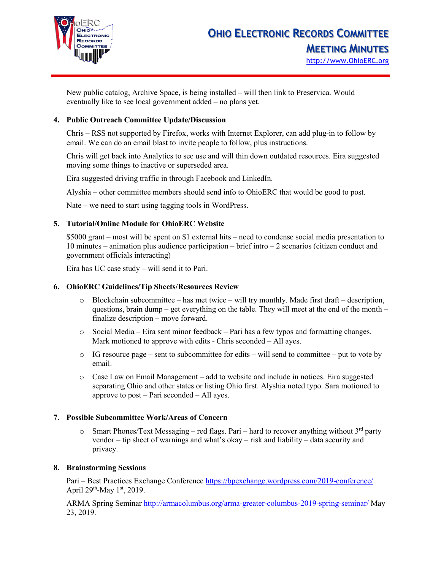

New public catalog, Archive Space, is being installed – will then link to Preservica. Would eventually like to see local government added – no plans yet.

## **4. Public Outreach Committee Update/Discussion**

Chris – RSS not supported by Firefox, works with Internet Explorer, can add plug-in to follow by email. We can do an email blast to invite people to follow, plus instructions.

Chris will get back into Analytics to see use and will thin down outdated resources. Eira suggested moving some things to inactive or superseded area.

Eira suggested driving traffic in through Facebook and LinkedIn.

Alyshia – other committee members should send info to OhioERC that would be good to post.

Nate – we need to start using tagging tools in WordPress.

### **5. Tutorial/Online Module for OhioERC Website**

\$5000 grant – most will be spent on \$1 external hits – need to condense social media presentation to 10 minutes – animation plus audience participation – brief intro – 2 scenarios (citizen conduct and government officials interacting)

Eira has UC case study – will send it to Pari.

### **6. OhioERC Guidelines/Tip Sheets/Resources Review**

- $\circ$  Blockchain subcommittee has met twice will try monthly. Made first draft description, questions, brain dump – get everything on the table. They will meet at the end of the month – finalize description – move forward.
- $\circ$  Social Media Eira sent minor feedback Pari has a few typos and formatting changes. Mark motioned to approve with edits - Chris seconded – All ayes.
- $\circ$  IG resource page sent to subcommittee for edits will send to committee put to vote by email.
- o Case Law on Email Management add to website and include in notices. Eira suggested separating Ohio and other states or listing Ohio first. Alyshia noted typo. Sara motioned to approve to post – Pari seconded – All ayes.

### **7. Possible Subcommittee Work/Areas of Concern**

Smart Phones/Text Messaging – red flags. Pari – hard to recover anything without  $3<sup>rd</sup>$  party vendor – tip sheet of warnings and what's okay – risk and liability – data security and privacy.

### **8. Brainstorming Sessions**

Pari – Best Practices Exchange Conference<https://bpexchange.wordpress.com/2019-conference/> April 29<sup>th</sup>-May 1<sup>st</sup>, 2019.

ARMA Spring Seminar<http://armacolumbus.org/arma-greater-columbus-2019-spring-seminar/> May 23, 2019.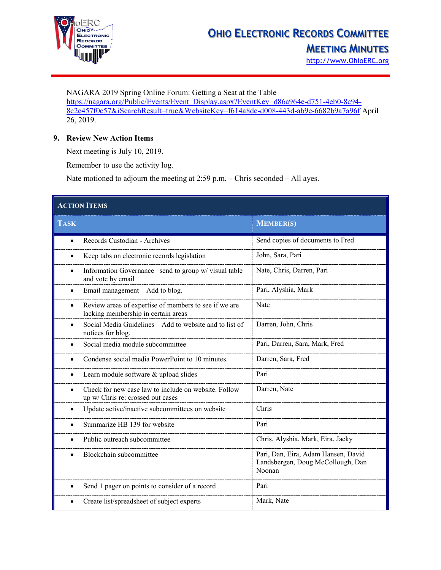

NAGARA 2019 Spring Online Forum: Getting a Seat at the Table [https://nagara.org/Public/Events/Event\\_Display.aspx?EventKey=d86a964e-d751-4eb0-8c94-](https://nagara.org/Public/Events/Event_Display.aspx?EventKey=d86a964e-d751-4eb0-8c94-8c2e457f0c57&iSearchResult=true&WebsiteKey=f614a8de-d008-443d-ab9e-6682b9a7a96f) [8c2e457f0c57&iSearchResult=true&WebsiteKey=f614a8de-d008-443d-ab9e-6682b9a7a96f](https://nagara.org/Public/Events/Event_Display.aspx?EventKey=d86a964e-d751-4eb0-8c94-8c2e457f0c57&iSearchResult=true&WebsiteKey=f614a8de-d008-443d-ab9e-6682b9a7a96f) April 26, 2019.

### **9. Review New Action Items**

Next meeting is July 10, 2019.

Remember to use the activity log.

Nate motioned to adjourn the meeting at 2:59 p.m. – Chris seconded – All ayes.

| <b>ACTION ITEMS</b>                                                                                       |                                                                                    |  |  |  |
|-----------------------------------------------------------------------------------------------------------|------------------------------------------------------------------------------------|--|--|--|
| <b>TASK</b>                                                                                               | <b>MEMBER(S)</b>                                                                   |  |  |  |
| Records Custodian - Archives<br>$\bullet$                                                                 | Send copies of documents to Fred                                                   |  |  |  |
| Keep tabs on electronic records legislation<br>$\bullet$                                                  | John, Sara, Pari                                                                   |  |  |  |
| Information Governance -send to group w/ visual table<br>$\bullet$<br>and vote by email                   | Nate, Chris, Darren, Pari                                                          |  |  |  |
| Email management - Add to blog.                                                                           | Pari, Alyshia, Mark                                                                |  |  |  |
| Review areas of expertise of members to see if we are<br>$\bullet$<br>lacking membership in certain areas | Nate                                                                               |  |  |  |
| Social Media Guidelines - Add to website and to list of<br>notices for blog.                              | Darren, John, Chris                                                                |  |  |  |
| Social media module subcommittee                                                                          | Pari, Darren, Sara, Mark, Fred                                                     |  |  |  |
| Condense social media PowerPoint to 10 minutes.                                                           | Darren, Sara, Fred                                                                 |  |  |  |
| Learn module software & upload slides<br>$\bullet$                                                        | Pari                                                                               |  |  |  |
| Check for new case law to include on website. Follow<br>$\bullet$<br>up w/ Chris re: crossed out cases    | Darren, Nate                                                                       |  |  |  |
| Update active/inactive subcommittees on website                                                           | Chris                                                                              |  |  |  |
| Summarize HB 139 for website                                                                              | Pari                                                                               |  |  |  |
| Public outreach subcommittee                                                                              | Chris, Alyshia, Mark, Eira, Jacky                                                  |  |  |  |
| Blockchain subcommittee                                                                                   | Pari, Dan, Eira, Adam Hansen, David<br>Landsbergen, Doug McCollough, Dan<br>Noonan |  |  |  |
| Send 1 pager on points to consider of a record                                                            | Pari                                                                               |  |  |  |
| Create list/spreadsheet of subject experts                                                                | Mark, Nate                                                                         |  |  |  |